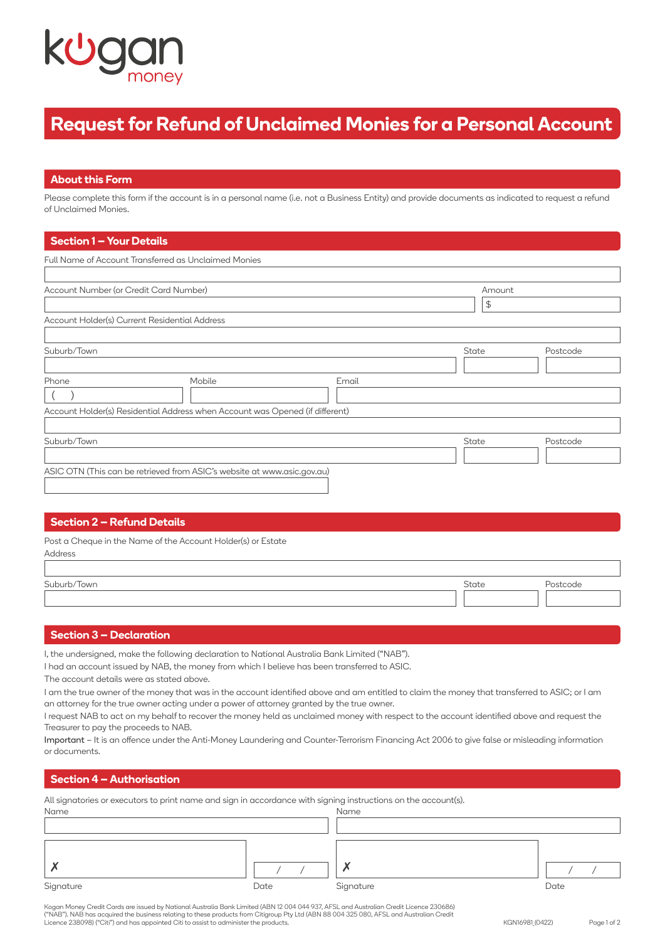

# **Request for Refund of Unclaimed Monies for a Personal Account**

## **About this Form**

Please complete this form if the account is in a personal name (i.e. not a Business Entity) and provide documents as indicated to request a refund of Unclaimed Monies.

## **Section 1 – Your Details**

| Full Name of Account Transferred as Unclaimed Monies |                                                                              |       |        |          |  |
|------------------------------------------------------|------------------------------------------------------------------------------|-------|--------|----------|--|
|                                                      |                                                                              |       |        |          |  |
| Account Number (or Credit Card Number)               |                                                                              |       | Amount |          |  |
|                                                      |                                                                              |       | \$     |          |  |
| Account Holder(s) Current Residential Address        |                                                                              |       |        |          |  |
|                                                      |                                                                              |       |        |          |  |
| Suburb/Town                                          |                                                                              |       | State  | Postcode |  |
|                                                      |                                                                              |       |        |          |  |
| Phone                                                | Mobile                                                                       | Email |        |          |  |
|                                                      |                                                                              |       |        |          |  |
|                                                      | Account Holder(s) Residential Address when Account was Opened (if different) |       |        |          |  |
|                                                      |                                                                              |       |        |          |  |
| Suburb/Town                                          |                                                                              |       | State  | Postcode |  |
|                                                      |                                                                              |       |        |          |  |
|                                                      | ASIC OTN (This can be retrieved from ASIC's website at www.asic.gov.au)      |       |        |          |  |
|                                                      |                                                                              |       |        |          |  |
|                                                      |                                                                              |       |        |          |  |

## **Section 2 – Refund Details**

| Post a Cheque in the Name of the Account Holder(s) or Estate |  |
|--------------------------------------------------------------|--|
| Address                                                      |  |

| Suburb/Town | State | Postcode |
|-------------|-------|----------|
|             |       |          |

## **Section 3 – Declaration**

I, the undersigned, make the following declaration to National Australia Bank Limited ("NAB").

I had an account issued by NAB, the money from which I believe has been transferred to ASIC.

The account details were as stated above.

I am the true owner of the money that was in the account identified above and am entitled to claim the money that transferred to ASIC; or I am an attorney for the true owner acting under a power of attorney granted by the true owner.

I request NAB to act on my behalf to recover the money held as unclaimed money with respect to the account identified above and request the Treasurer to pay the proceeds to NAB.

Important – It is an offence under the Anti-Money Laundering and Counter-Terrorism Financing Act 2006 to give false or misleading information or documents.

# **Section 4 – Authorisation**

| All signatories or executors to print name and sign in accordance with signing instructions on the account(s). |      |
|----------------------------------------------------------------------------------------------------------------|------|
| Name                                                                                                           | Name |
|                                                                                                                |      |

| Signature | Date | Signature | Date |
|-----------|------|-----------|------|

Kogan Money Credit Cards are issued by National Australia Bank Limited (ABN 12 004 044 937, AFSL and Australian Credit Licence 230686) ("NAB"). NAB has acquired the business relating to these products from Citigroup Pty Ltd (ABN 88 004 325 080, AFSL and Australian Credit Licence 238098) ("Citi") and has appointed Citi to assist to administer the products.